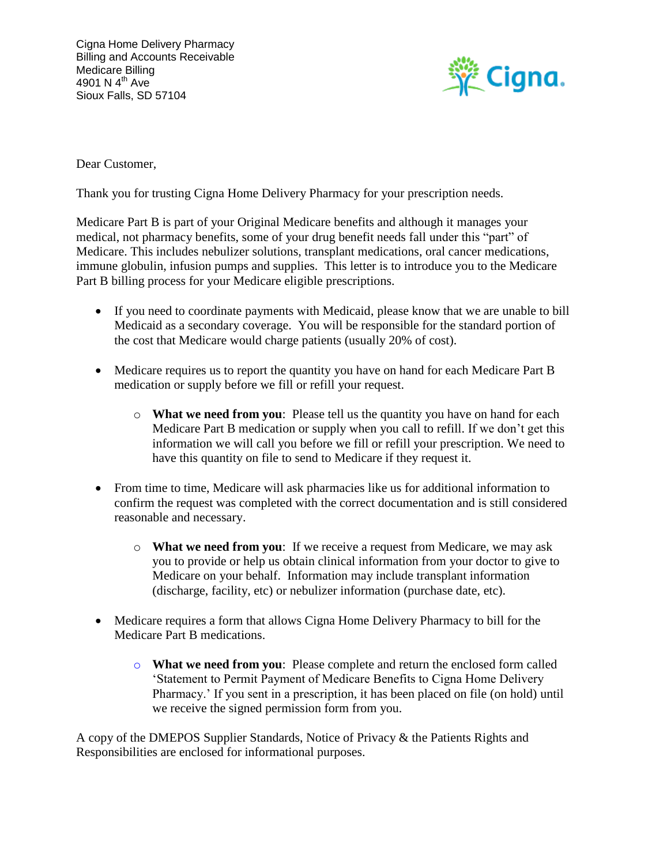

Dear Customer,

Thank you for trusting Cigna Home Delivery Pharmacy for your prescription needs.

Medicare Part B is part of your Original Medicare benefits and although it manages your medical, not pharmacy benefits, some of your drug benefit needs fall under this "part" of Medicare. This includes nebulizer solutions, transplant medications, oral cancer medications, immune globulin, infusion pumps and supplies. This letter is to introduce you to the Medicare Part B billing process for your Medicare eligible prescriptions.

- If you need to coordinate payments with Medicaid, please know that we are unable to bill Medicaid as a secondary coverage. You will be responsible for the standard portion of the cost that Medicare would charge patients (usually 20% of cost).
- Medicare requires us to report the quantity you have on hand for each Medicare Part B medication or supply before we fill or refill your request.
	- o **What we need from you**: Please tell us the quantity you have on hand for each Medicare Part B medication or supply when you call to refill. If we don't get this information we will call you before we fill or refill your prescription. We need to have this quantity on file to send to Medicare if they request it.
- From time to time, Medicare will ask pharmacies like us for additional information to confirm the request was completed with the correct documentation and is still considered reasonable and necessary.
	- o **What we need from you**: If we receive a request from Medicare, we may ask you to provide or help us obtain clinical information from your doctor to give to Medicare on your behalf. Information may include transplant information (discharge, facility, etc) or nebulizer information (purchase date, etc).
- Medicare requires a form that allows Cigna Home Delivery Pharmacy to bill for the Medicare Part B medications.
	- o **What we need from you**: Please complete and return the enclosed form called 'Statement to Permit Payment of Medicare Benefits to Cigna Home Delivery Pharmacy.' If you sent in a prescription, it has been placed on file (on hold) until we receive the signed permission form from you.

A copy of the DMEPOS Supplier Standards, Notice of Privacy & the Patients Rights and Responsibilities are enclosed for informational purposes.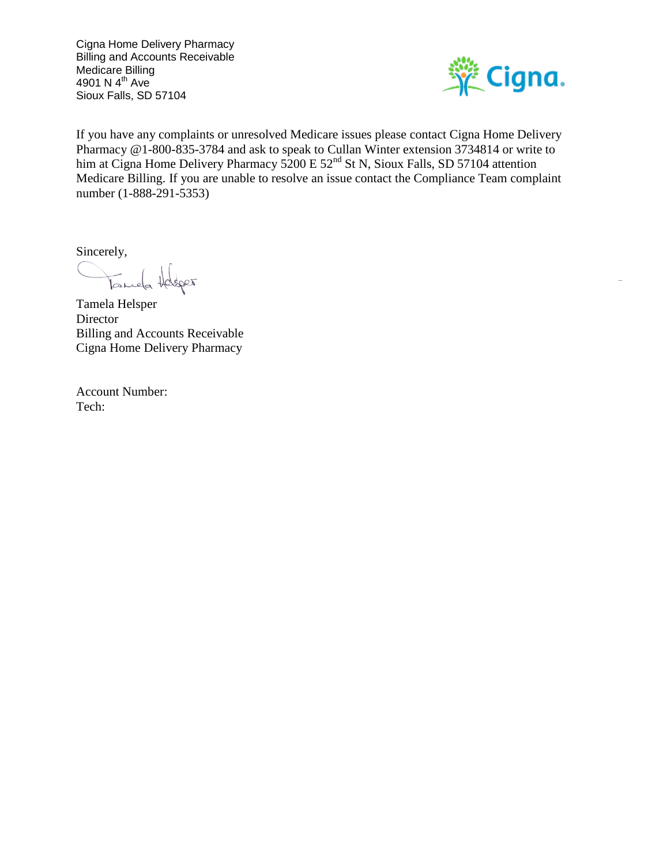

If you have any complaints or unresolved Medicare issues please contact Cigna Home Delivery Pharmacy @1-800-835-3784 and ask to speak to Cullan Winter extension 3734814 or write to him at Cigna Home Delivery Pharmacy 5200 E 52<sup>nd</sup> St N, Sioux Falls, SD 57104 attention Medicare Billing. If you are unable to resolve an issue contact the Compliance Team complaint number (1-888-291-5353)

Sincerely,

Tamela Holsper

Tamela Helsper **Director** Billing and Accounts Receivable Cigna Home Delivery Pharmacy

Account Number: Tech: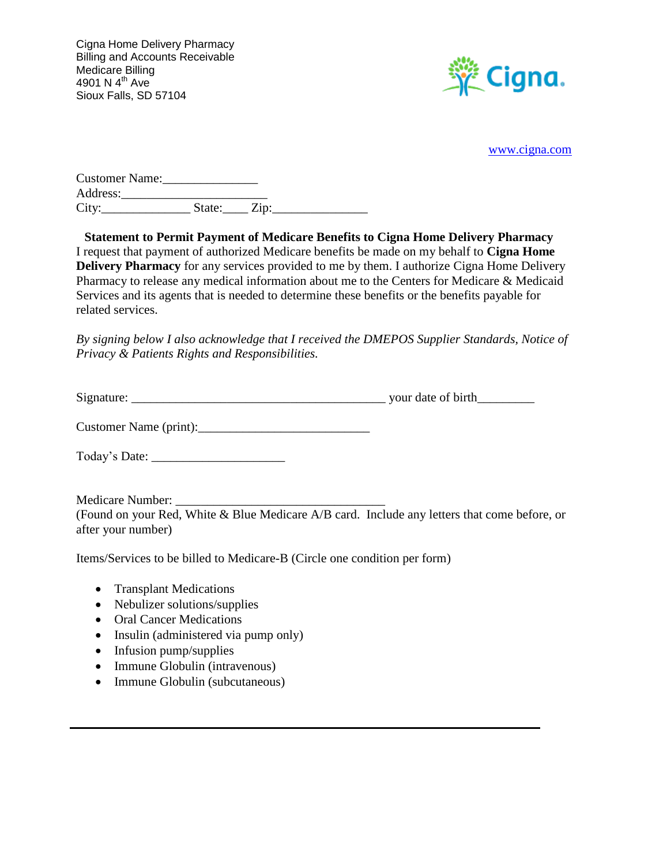

[www.cigna.com](http://www.cigna.com/)

| <b>Customer Name:</b> |        |      |  |
|-----------------------|--------|------|--|
| Address:              |        |      |  |
| City:                 | State: | Zip: |  |

**Statement to Permit Payment of Medicare Benefits to Cigna Home Delivery Pharmacy** I request that payment of authorized Medicare benefits be made on my behalf to **Cigna Home Delivery Pharmacy** for any services provided to me by them. I authorize Cigna Home Delivery Pharmacy to release any medical information about me to the Centers for Medicare & Medicaid Services and its agents that is needed to determine these benefits or the benefits payable for related services.

*By signing below I also acknowledge that I received the DMEPOS Supplier Standards, Notice of Privacy & Patients Rights and Responsibilities.*

| Signature: | vour date of birth |
|------------|--------------------|
|            |                    |

Customer Name (print):\_\_\_\_\_\_\_\_\_\_\_\_\_\_\_\_\_\_\_\_\_\_\_\_\_\_\_

Today's Date: \_\_\_\_\_\_\_\_\_\_\_\_\_\_\_\_\_\_\_\_\_

Medicare Number: (Found on your Red, White & Blue Medicare A/B card. Include any letters that come before, or after your number)

Items/Services to be billed to Medicare-B (Circle one condition per form)

- Transplant Medications
- Nebulizer solutions/supplies
- Oral Cancer Medications
- Insulin (administered via pump only)
- Infusion pump/supplies
- Immune Globulin (intravenous)
- Immune Globulin (subcutaneous)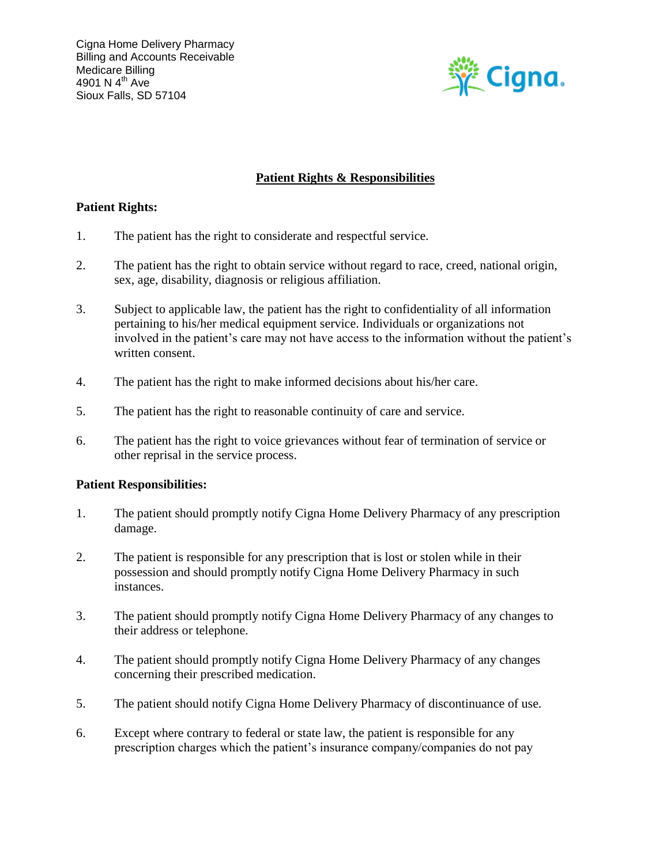

## **Patient Rights & Responsibilities**

## **Patient Rights:**

- 1. The patient has the right to considerate and respectful service.
- 2. The patient has the right to obtain service without regard to race, creed, national origin, sex, age, disability, diagnosis or religious affiliation.
- 3. Subject to applicable law, the patient has the right to confidentiality of all information pertaining to his/her medical equipment service. Individuals or organizations not involved in the patient's care may not have access to the information without the patient's written consent.
- 4. The patient has the right to make informed decisions about his/her care.
- 5. The patient has the right to reasonable continuity of care and service.
- 6. The patient has the right to voice grievances without fear of termination of service or other reprisal in the service process.

### **Patient Responsibilities:**

- 1. The patient should promptly notify Cigna Home Delivery Pharmacy of any prescription damage.
- 2. The patient is responsible for any prescription that is lost or stolen while in their possession and should promptly notify Cigna Home Delivery Pharmacy in such instances.
- 3. The patient should promptly notify Cigna Home Delivery Pharmacy of any changes to their address or telephone.
- 4. The patient should promptly notify Cigna Home Delivery Pharmacy of any changes concerning their prescribed medication.
- 5. The patient should notify Cigna Home Delivery Pharmacy of discontinuance of use.
- 6. Except where contrary to federal or state law, the patient is responsible for any prescription charges which the patient's insurance company/companies do not pay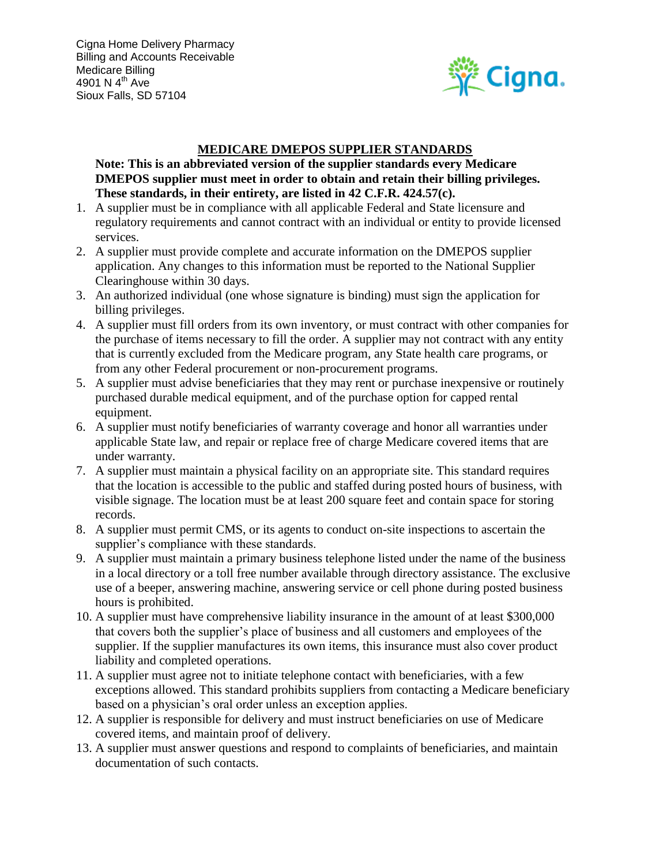

## **MEDICARE DMEPOS SUPPLIER STANDARDS**

**Note: This is an abbreviated version of the supplier standards every Medicare DMEPOS supplier must meet in order to obtain and retain their billing privileges. These standards, in their entirety, are listed in 42 C.F.R. 424.57(c).** 

- 1. A supplier must be in compliance with all applicable Federal and State licensure and regulatory requirements and cannot contract with an individual or entity to provide licensed services.
- 2. A supplier must provide complete and accurate information on the DMEPOS supplier application. Any changes to this information must be reported to the National Supplier Clearinghouse within 30 days.
- 3. An authorized individual (one whose signature is binding) must sign the application for billing privileges.
- 4. A supplier must fill orders from its own inventory, or must contract with other companies for the purchase of items necessary to fill the order. A supplier may not contract with any entity that is currently excluded from the Medicare program, any State health care programs, or from any other Federal procurement or non-procurement programs.
- 5. A supplier must advise beneficiaries that they may rent or purchase inexpensive or routinely purchased durable medical equipment, and of the purchase option for capped rental equipment.
- 6. A supplier must notify beneficiaries of warranty coverage and honor all warranties under applicable State law, and repair or replace free of charge Medicare covered items that are under warranty.
- 7. A supplier must maintain a physical facility on an appropriate site. This standard requires that the location is accessible to the public and staffed during posted hours of business, with visible signage. The location must be at least 200 square feet and contain space for storing records.
- 8. A supplier must permit CMS, or its agents to conduct on-site inspections to ascertain the supplier's compliance with these standards.
- 9. A supplier must maintain a primary business telephone listed under the name of the business in a local directory or a toll free number available through directory assistance. The exclusive use of a beeper, answering machine, answering service or cell phone during posted business hours is prohibited.
- 10. A supplier must have comprehensive liability insurance in the amount of at least \$300,000 that covers both the supplier's place of business and all customers and employees of the supplier. If the supplier manufactures its own items, this insurance must also cover product liability and completed operations.
- 11. A supplier must agree not to initiate telephone contact with beneficiaries, with a few exceptions allowed. This standard prohibits suppliers from contacting a Medicare beneficiary based on a physician's oral order unless an exception applies.
- 12. A supplier is responsible for delivery and must instruct beneficiaries on use of Medicare covered items, and maintain proof of delivery.
- 13. A supplier must answer questions and respond to complaints of beneficiaries, and maintain documentation of such contacts.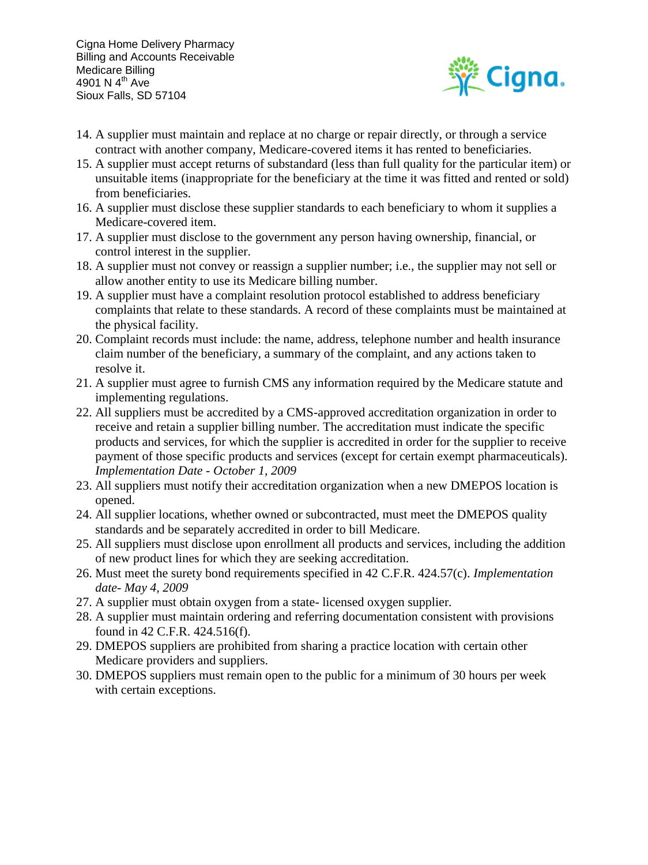

- 14. A supplier must maintain and replace at no charge or repair directly, or through a service contract with another company, Medicare-covered items it has rented to beneficiaries.
- 15. A supplier must accept returns of substandard (less than full quality for the particular item) or unsuitable items (inappropriate for the beneficiary at the time it was fitted and rented or sold) from beneficiaries.
- 16. A supplier must disclose these supplier standards to each beneficiary to whom it supplies a Medicare-covered item.
- 17. A supplier must disclose to the government any person having ownership, financial, or control interest in the supplier.
- 18. A supplier must not convey or reassign a supplier number; i.e., the supplier may not sell or allow another entity to use its Medicare billing number.
- 19. A supplier must have a complaint resolution protocol established to address beneficiary complaints that relate to these standards. A record of these complaints must be maintained at the physical facility.
- 20. Complaint records must include: the name, address, telephone number and health insurance claim number of the beneficiary, a summary of the complaint, and any actions taken to resolve it.
- 21. A supplier must agree to furnish CMS any information required by the Medicare statute and implementing regulations.
- 22. All suppliers must be accredited by a CMS-approved accreditation organization in order to receive and retain a supplier billing number. The accreditation must indicate the specific products and services, for which the supplier is accredited in order for the supplier to receive payment of those specific products and services (except for certain exempt pharmaceuticals). *Implementation Date - October 1, 2009*
- 23. All suppliers must notify their accreditation organization when a new DMEPOS location is opened.
- 24. All supplier locations, whether owned or subcontracted, must meet the DMEPOS quality standards and be separately accredited in order to bill Medicare.
- 25. All suppliers must disclose upon enrollment all products and services, including the addition of new product lines for which they are seeking accreditation.
- 26. Must meet the surety bond requirements specified in 42 C.F.R. 424.57(c). *Implementation date- May 4, 2009*
- 27. A supplier must obtain oxygen from a state- licensed oxygen supplier.
- 28. A supplier must maintain ordering and referring documentation consistent with provisions found in 42 C.F.R. 424.516(f).
- 29. DMEPOS suppliers are prohibited from sharing a practice location with certain other Medicare providers and suppliers.
- 30. DMEPOS suppliers must remain open to the public for a minimum of 30 hours per week with certain exceptions.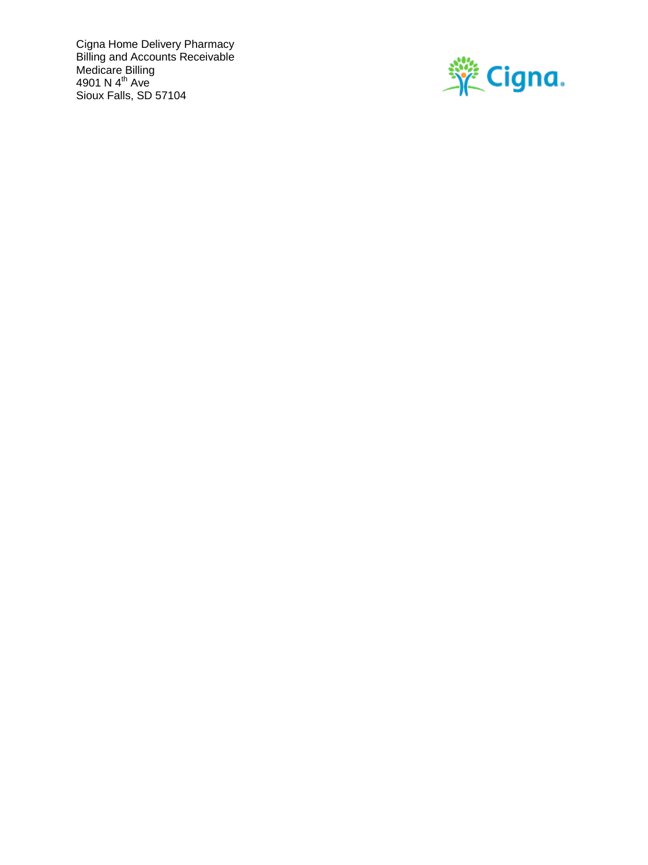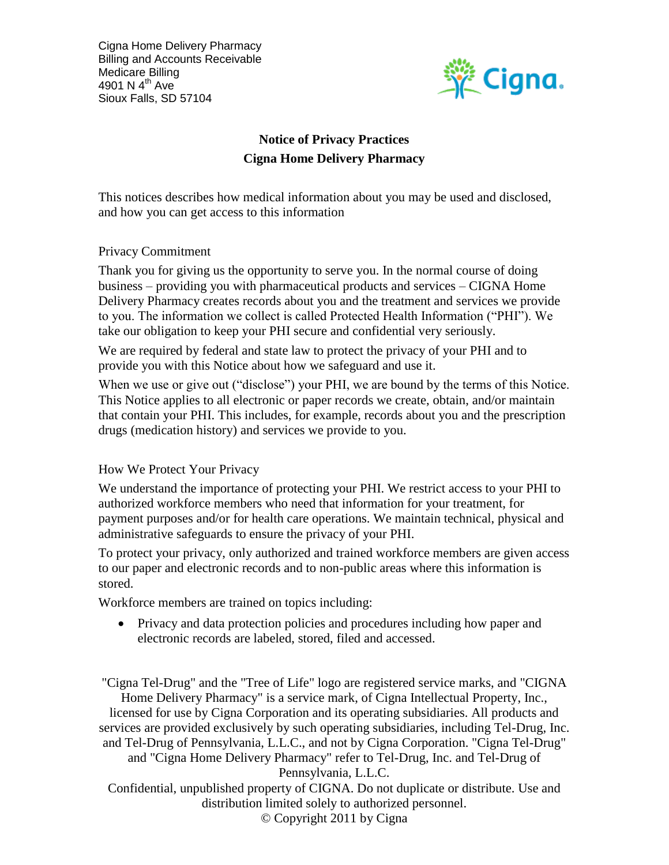

# **Notice of Privacy Practices Cigna Home Delivery Pharmacy**

This notices describes how medical information about you may be used and disclosed, and how you can get access to this information

## Privacy Commitment

Thank you for giving us the opportunity to serve you. In the normal course of doing business – providing you with pharmaceutical products and services – CIGNA Home Delivery Pharmacy creates records about you and the treatment and services we provide to you. The information we collect is called Protected Health Information ("PHI"). We take our obligation to keep your PHI secure and confidential very seriously.

We are required by federal and state law to protect the privacy of your PHI and to provide you with this Notice about how we safeguard and use it.

When we use or give out ("disclose") your PHI, we are bound by the terms of this Notice. This Notice applies to all electronic or paper records we create, obtain, and/or maintain that contain your PHI. This includes, for example, records about you and the prescription drugs (medication history) and services we provide to you.

## How We Protect Your Privacy

We understand the importance of protecting your PHI. We restrict access to your PHI to authorized workforce members who need that information for your treatment, for payment purposes and/or for health care operations. We maintain technical, physical and administrative safeguards to ensure the privacy of your PHI.

To protect your privacy, only authorized and trained workforce members are given access to our paper and electronic records and to non-public areas where this information is stored.

Workforce members are trained on topics including:

• Privacy and data protection policies and procedures including how paper and electronic records are labeled, stored, filed and accessed.

"Cigna Tel-Drug" and the "Tree of Life" logo are registered service marks, and "CIGNA Home Delivery Pharmacy" is a service mark, of Cigna Intellectual Property, Inc., licensed for use by Cigna Corporation and its operating subsidiaries. All products and services are provided exclusively by such operating subsidiaries, including Tel-Drug, Inc. and Tel-Drug of Pennsylvania, L.L.C., and not by Cigna Corporation. "Cigna Tel-Drug" and "Cigna Home Delivery Pharmacy" refer to Tel-Drug, Inc. and Tel-Drug of Pennsylvania, L.L.C. Confidential, unpublished property of CIGNA. Do not duplicate or distribute. Use and

> distribution limited solely to authorized personnel. © Copyright 2011 by Cigna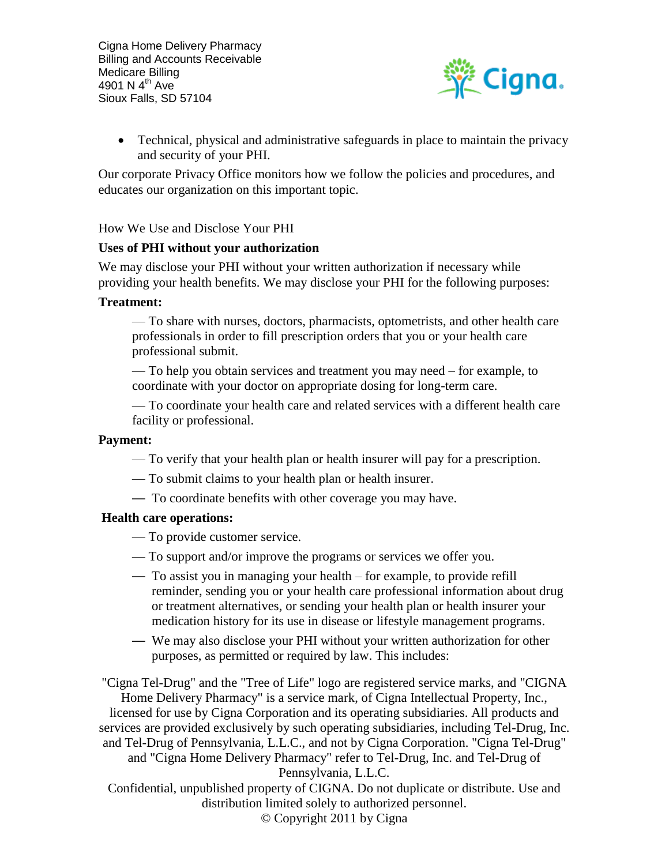

 Technical, physical and administrative safeguards in place to maintain the privacy and security of your PHI.

Our corporate Privacy Office monitors how we follow the policies and procedures, and educates our organization on this important topic.

How We Use and Disclose Your PHI

#### **Uses of PHI without your authorization**

We may disclose your PHI without your written authorization if necessary while providing your health benefits. We may disclose your PHI for the following purposes:

#### **Treatment:**

— To share with nurses, doctors, pharmacists, optometrists, and other health care professionals in order to fill prescription orders that you or your health care professional submit.

— To help you obtain services and treatment you may need – for example, to coordinate with your doctor on appropriate dosing for long-term care.

— To coordinate your health care and related services with a different health care facility or professional.

#### **Payment:**

- To verify that your health plan or health insurer will pay for a prescription.
- To submit claims to your health plan or health insurer.
- To coordinate benefits with other coverage you may have.

#### **Health care operations:**

- To provide customer service.
- To support and/or improve the programs or services we offer you.
- To assist you in managing your health for example, to provide refill reminder, sending you or your health care professional information about drug or treatment alternatives, or sending your health plan or health insurer your medication history for its use in disease or lifestyle management programs.
- We may also disclose your PHI without your written authorization for other purposes, as permitted or required by law. This includes:

"Cigna Tel-Drug" and the "Tree of Life" logo are registered service marks, and "CIGNA Home Delivery Pharmacy" is a service mark, of Cigna Intellectual Property, Inc., licensed for use by Cigna Corporation and its operating subsidiaries. All products and services are provided exclusively by such operating subsidiaries, including Tel-Drug, Inc. and Tel-Drug of Pennsylvania, L.L.C., and not by Cigna Corporation. "Cigna Tel-Drug" and "Cigna Home Delivery Pharmacy" refer to Tel-Drug, Inc. and Tel-Drug of Pennsylvania, L.L.C.

Confidential, unpublished property of CIGNA. Do not duplicate or distribute. Use and distribution limited solely to authorized personnel.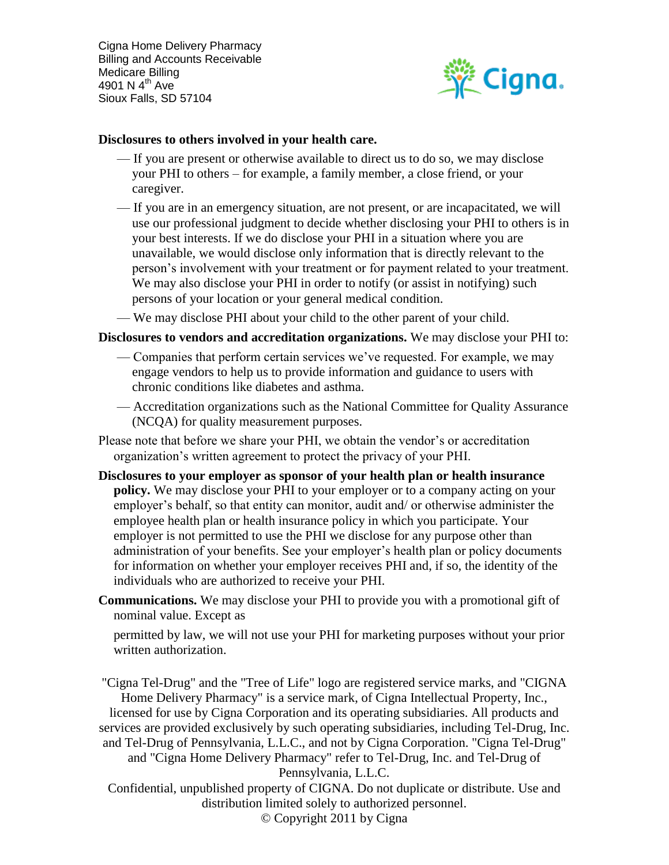

#### **Disclosures to others involved in your health care.**

- If you are present or otherwise available to direct us to do so, we may disclose your PHI to others – for example, a family member, a close friend, or your caregiver.
- If you are in an emergency situation, are not present, or are incapacitated, we will use our professional judgment to decide whether disclosing your PHI to others is in your best interests. If we do disclose your PHI in a situation where you are unavailable, we would disclose only information that is directly relevant to the person's involvement with your treatment or for payment related to your treatment. We may also disclose your PHI in order to notify (or assist in notifying) such persons of your location or your general medical condition.
- We may disclose PHI about your child to the other parent of your child.

#### **Disclosures to vendors and accreditation organizations.** We may disclose your PHI to:

- Companies that perform certain services we've requested. For example, we may engage vendors to help us to provide information and guidance to users with chronic conditions like diabetes and asthma.
- Accreditation organizations such as the National Committee for Quality Assurance (NCQA) for quality measurement purposes.
- Please note that before we share your PHI, we obtain the vendor's or accreditation organization's written agreement to protect the privacy of your PHI.
- **Disclosures to your employer as sponsor of your health plan or health insurance policy.** We may disclose your PHI to your employer or to a company acting on your employer's behalf, so that entity can monitor, audit and/ or otherwise administer the employee health plan or health insurance policy in which you participate. Your employer is not permitted to use the PHI we disclose for any purpose other than administration of your benefits. See your employer's health plan or policy documents for information on whether your employer receives PHI and, if so, the identity of the individuals who are authorized to receive your PHI.
- **Communications.** We may disclose your PHI to provide you with a promotional gift of nominal value. Except as

permitted by law, we will not use your PHI for marketing purposes without your prior written authorization.

"Cigna Tel-Drug" and the "Tree of Life" logo are registered service marks, and "CIGNA Home Delivery Pharmacy" is a service mark, of Cigna Intellectual Property, Inc., licensed for use by Cigna Corporation and its operating subsidiaries. All products and services are provided exclusively by such operating subsidiaries, including Tel-Drug, Inc. and Tel-Drug of Pennsylvania, L.L.C., and not by Cigna Corporation. "Cigna Tel-Drug" and "Cigna Home Delivery Pharmacy" refer to Tel-Drug, Inc. and Tel-Drug of Pennsylvania, L.L.C.

Confidential, unpublished property of CIGNA. Do not duplicate or distribute. Use and distribution limited solely to authorized personnel.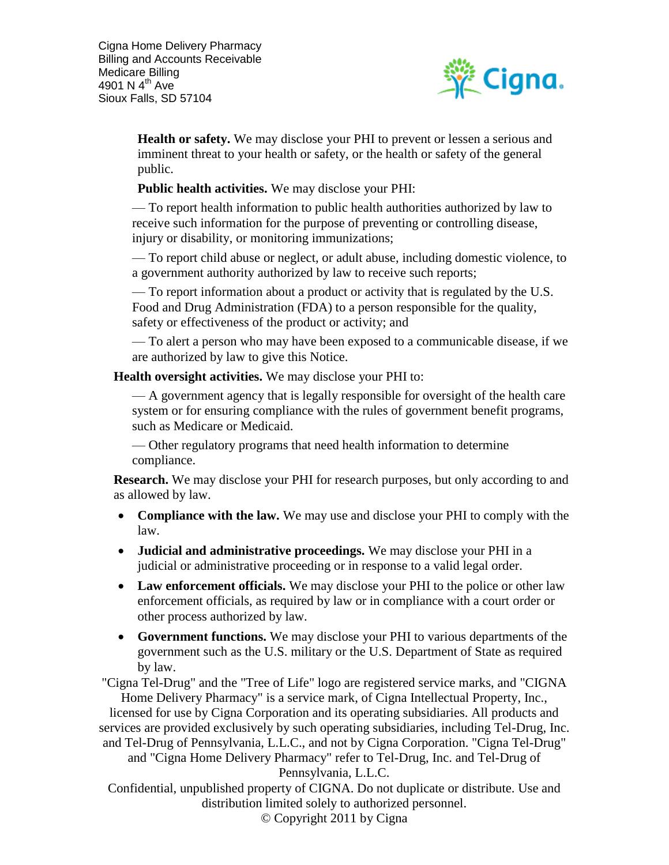

**Health or safety.** We may disclose your PHI to prevent or lessen a serious and imminent threat to your health or safety, or the health or safety of the general public.

**Public health activities.** We may disclose your PHI:

— To report health information to public health authorities authorized by law to receive such information for the purpose of preventing or controlling disease, injury or disability, or monitoring immunizations;

— To report child abuse or neglect, or adult abuse, including domestic violence, to a government authority authorized by law to receive such reports;

— To report information about a product or activity that is regulated by the U.S. Food and Drug Administration (FDA) to a person responsible for the quality, safety or effectiveness of the product or activity; and

— To alert a person who may have been exposed to a communicable disease, if we are authorized by law to give this Notice.

**Health oversight activities.** We may disclose your PHI to:

— A government agency that is legally responsible for oversight of the health care system or for ensuring compliance with the rules of government benefit programs, such as Medicare or Medicaid.

— Other regulatory programs that need health information to determine compliance.

**Research.** We may disclose your PHI for research purposes, but only according to and as allowed by law.

- **Compliance with the law.** We may use and disclose your PHI to comply with the law.
- **Judicial and administrative proceedings.** We may disclose your PHI in a judicial or administrative proceeding or in response to a valid legal order.
- **Law enforcement officials.** We may disclose your PHI to the police or other law enforcement officials, as required by law or in compliance with a court order or other process authorized by law.
- **Government functions.** We may disclose your PHI to various departments of the government such as the U.S. military or the U.S. Department of State as required by law.

"Cigna Tel-Drug" and the "Tree of Life" logo are registered service marks, and "CIGNA Home Delivery Pharmacy" is a service mark, of Cigna Intellectual Property, Inc.,

licensed for use by Cigna Corporation and its operating subsidiaries. All products and services are provided exclusively by such operating subsidiaries, including Tel-Drug, Inc. and Tel-Drug of Pennsylvania, L.L.C., and not by Cigna Corporation. "Cigna Tel-Drug" and "Cigna Home Delivery Pharmacy" refer to Tel-Drug, Inc. and Tel-Drug of

Pennsylvania, L.L.C.

Confidential, unpublished property of CIGNA. Do not duplicate or distribute. Use and distribution limited solely to authorized personnel.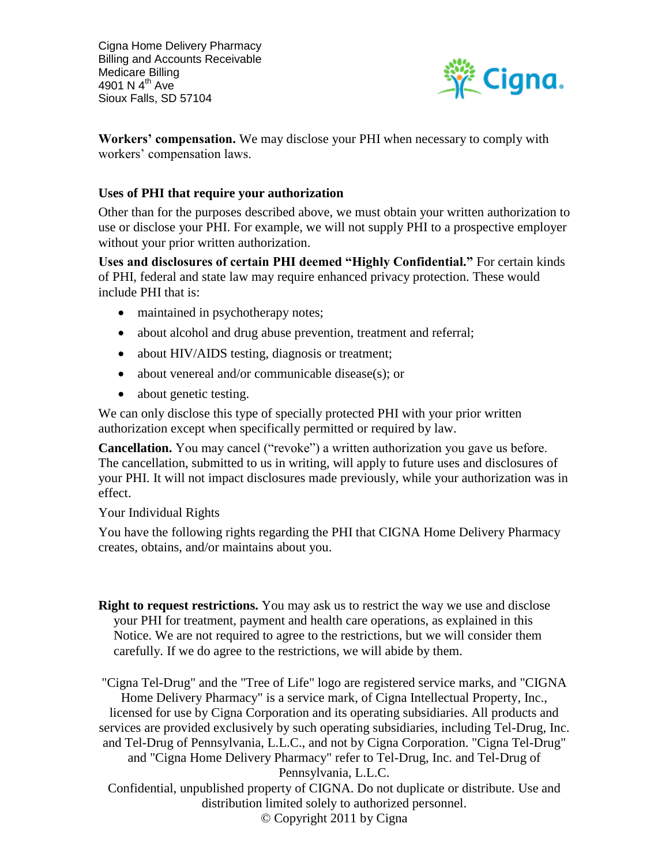

**Workers' compensation.** We may disclose your PHI when necessary to comply with workers' compensation laws.

## **Uses of PHI that require your authorization**

Other than for the purposes described above, we must obtain your written authorization to use or disclose your PHI. For example, we will not supply PHI to a prospective employer without your prior written authorization.

**Uses and disclosures of certain PHI deemed "Highly Confidential."** For certain kinds of PHI, federal and state law may require enhanced privacy protection. These would include PHI that is:

- maintained in psychotherapy notes;
- about alcohol and drug abuse prevention, treatment and referral;
- about HIV/AIDS testing, diagnosis or treatment;
- about venereal and/or communicable disease(s); or
- about genetic testing.

We can only disclose this type of specially protected PHI with your prior written authorization except when specifically permitted or required by law.

**Cancellation.** You may cancel ("revoke") a written authorization you gave us before. The cancellation, submitted to us in writing, will apply to future uses and disclosures of your PHI. It will not impact disclosures made previously, while your authorization was in effect.

Your Individual Rights

You have the following rights regarding the PHI that CIGNA Home Delivery Pharmacy creates, obtains, and/or maintains about you.

**Right to request restrictions.** You may ask us to restrict the way we use and disclose your PHI for treatment, payment and health care operations, as explained in this Notice. We are not required to agree to the restrictions, but we will consider them carefully. If we do agree to the restrictions, we will abide by them.

"Cigna Tel-Drug" and the "Tree of Life" logo are registered service marks, and "CIGNA Home Delivery Pharmacy" is a service mark, of Cigna Intellectual Property, Inc., licensed for use by Cigna Corporation and its operating subsidiaries. All products and services are provided exclusively by such operating subsidiaries, including Tel-Drug, Inc. and Tel-Drug of Pennsylvania, L.L.C., and not by Cigna Corporation. "Cigna Tel-Drug" and "Cigna Home Delivery Pharmacy" refer to Tel-Drug, Inc. and Tel-Drug of Pennsylvania, L.L.C.

Confidential, unpublished property of CIGNA. Do not duplicate or distribute. Use and distribution limited solely to authorized personnel.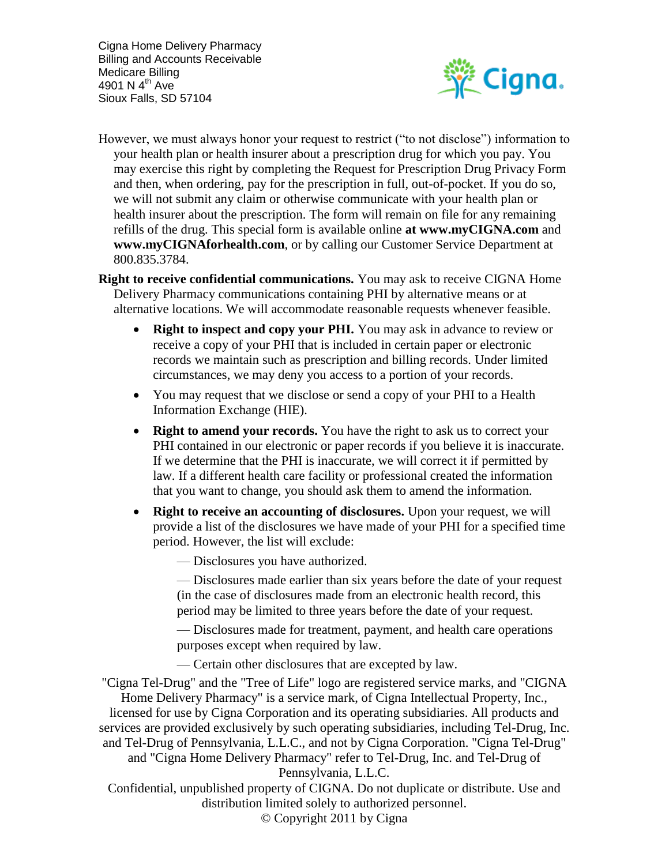

However, we must always honor your request to restrict ("to not disclose") information to your health plan or health insurer about a prescription drug for which you pay. You may exercise this right by completing the Request for Prescription Drug Privacy Form and then, when ordering, pay for the prescription in full, out-of-pocket. If you do so, we will not submit any claim or otherwise communicate with your health plan or health insurer about the prescription. The form will remain on file for any remaining refills of the drug. This special form is available online **at www.myCIGNA.com** and **www.myCIGNAforhealth.com**, or by calling our Customer Service Department at 800.835.3784.

**Right to receive confidential communications.** You may ask to receive CIGNA Home Delivery Pharmacy communications containing PHI by alternative means or at alternative locations. We will accommodate reasonable requests whenever feasible.

- **Right to inspect and copy your PHI.** You may ask in advance to review or receive a copy of your PHI that is included in certain paper or electronic records we maintain such as prescription and billing records. Under limited circumstances, we may deny you access to a portion of your records.
- You may request that we disclose or send a copy of your PHI to a Health Information Exchange (HIE).
- **Right to amend your records.** You have the right to ask us to correct your PHI contained in our electronic or paper records if you believe it is inaccurate. If we determine that the PHI is inaccurate, we will correct it if permitted by law. If a different health care facility or professional created the information that you want to change, you should ask them to amend the information.
- **Right to receive an accounting of disclosures.** Upon your request, we will provide a list of the disclosures we have made of your PHI for a specified time period. However, the list will exclude:
	- Disclosures you have authorized.

— Disclosures made earlier than six years before the date of your request (in the case of disclosures made from an electronic health record, this period may be limited to three years before the date of your request.

— Disclosures made for treatment, payment, and health care operations purposes except when required by law.

— Certain other disclosures that are excepted by law.

"Cigna Tel-Drug" and the "Tree of Life" logo are registered service marks, and "CIGNA Home Delivery Pharmacy" is a service mark, of Cigna Intellectual Property, Inc., licensed for use by Cigna Corporation and its operating subsidiaries. All products and services are provided exclusively by such operating subsidiaries, including Tel-Drug, Inc. and Tel-Drug of Pennsylvania, L.L.C., and not by Cigna Corporation. "Cigna Tel-Drug" and "Cigna Home Delivery Pharmacy" refer to Tel-Drug, Inc. and Tel-Drug of Pennsylvania, L.L.C.

Confidential, unpublished property of CIGNA. Do not duplicate or distribute. Use and distribution limited solely to authorized personnel.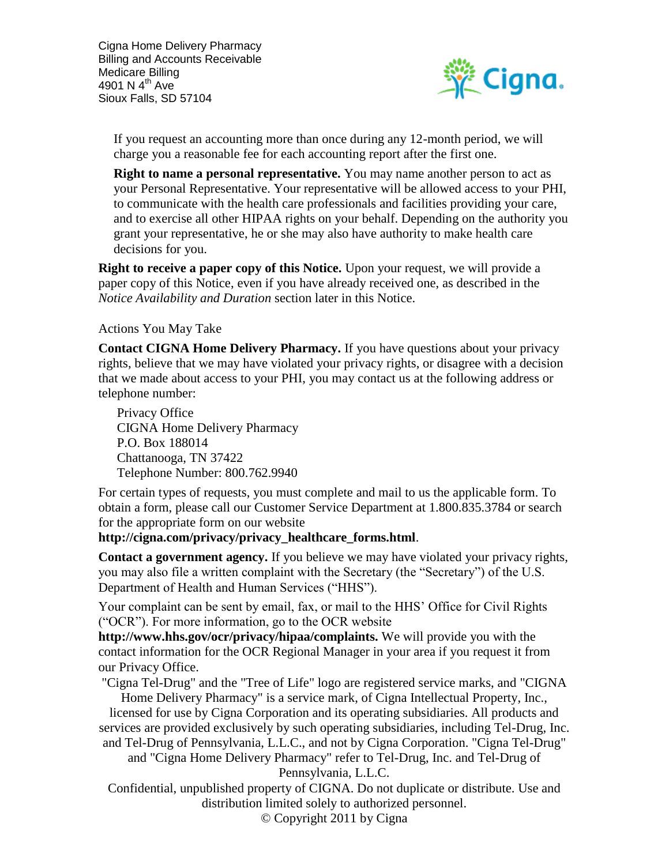

If you request an accounting more than once during any 12-month period, we will charge you a reasonable fee for each accounting report after the first one.

**Right to name a personal representative.** You may name another person to act as your Personal Representative. Your representative will be allowed access to your PHI, to communicate with the health care professionals and facilities providing your care, and to exercise all other HIPAA rights on your behalf. Depending on the authority you grant your representative, he or she may also have authority to make health care decisions for you.

**Right to receive a paper copy of this Notice.** Upon your request, we will provide a paper copy of this Notice, even if you have already received one, as described in the *Notice Availability and Duration* section later in this Notice.

#### Actions You May Take

**Contact CIGNA Home Delivery Pharmacy.** If you have questions about your privacy rights, believe that we may have violated your privacy rights, or disagree with a decision that we made about access to your PHI, you may contact us at the following address or telephone number:

Privacy Office CIGNA Home Delivery Pharmacy P.O. Box 188014 Chattanooga, TN 37422 Telephone Number: 800.762.9940

For certain types of requests, you must complete and mail to us the applicable form. To obtain a form, please call our Customer Service Department at 1.800.835.3784 or search for the appropriate form on our website

#### **http://cigna.com/privacy/privacy\_healthcare\_forms.html**.

**Contact a government agency.** If you believe we may have violated your privacy rights, you may also file a written complaint with the Secretary (the "Secretary") of the U.S. Department of Health and Human Services ("HHS").

Your complaint can be sent by email, fax, or mail to the HHS' Office for Civil Rights ("OCR"). For more information, go to the OCR website

**http://www.hhs.gov/ocr/privacy/hipaa/complaints.** We will provide you with the contact information for the OCR Regional Manager in your area if you request it from our Privacy Office.

"Cigna Tel-Drug" and the "Tree of Life" logo are registered service marks, and "CIGNA Home Delivery Pharmacy" is a service mark, of Cigna Intellectual Property, Inc.,

licensed for use by Cigna Corporation and its operating subsidiaries. All products and services are provided exclusively by such operating subsidiaries, including Tel-Drug, Inc. and Tel-Drug of Pennsylvania, L.L.C., and not by Cigna Corporation. "Cigna Tel-Drug"

and "Cigna Home Delivery Pharmacy" refer to Tel-Drug, Inc. and Tel-Drug of Pennsylvania, L.L.C.

Confidential, unpublished property of CIGNA. Do not duplicate or distribute. Use and distribution limited solely to authorized personnel.